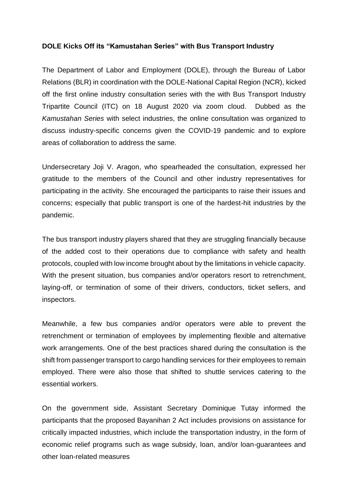## **DOLE Kicks Off its "Kamustahan Series" with Bus Transport Industry**

The Department of Labor and Employment (DOLE), through the Bureau of Labor Relations (BLR) in coordination with the DOLE-National Capital Region (NCR), kicked off the first online industry consultation series with the with Bus Transport Industry Tripartite Council (ITC) on 18 August 2020 via zoom cloud. Dubbed as the *Kamustahan Series* with select industries, the online consultation was organized to discuss industry-specific concerns given the COVID-19 pandemic and to explore areas of collaboration to address the same.

Undersecretary Joji V. Aragon, who spearheaded the consultation, expressed her gratitude to the members of the Council and other industry representatives for participating in the activity. She encouraged the participants to raise their issues and concerns; especially that public transport is one of the hardest-hit industries by the pandemic.

The bus transport industry players shared that they are struggling financially because of the added cost to their operations due to compliance with safety and health protocols, coupled with low income brought about by the limitations in vehicle capacity. With the present situation, bus companies and/or operators resort to retrenchment, laying-off, or termination of some of their drivers, conductors, ticket sellers, and inspectors.

Meanwhile, a few bus companies and/or operators were able to prevent the retrenchment or termination of employees by implementing flexible and alternative work arrangements. One of the best practices shared during the consultation is the shift from passenger transport to cargo handling services for their employees to remain employed. There were also those that shifted to shuttle services catering to the essential workers.

On the government side, Assistant Secretary Dominique Tutay informed the participants that the proposed Bayanihan 2 Act includes provisions on assistance for critically impacted industries, which include the transportation industry, in the form of economic relief programs such as wage subsidy, loan, and/or loan-guarantees and other loan-related measures